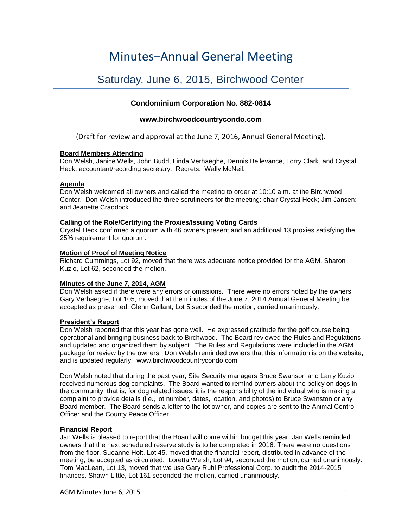# Minutes–Annual General Meeting

# Saturday, June 6, 2015, Birchwood Center

# **Condominium Corporation No. 882-0814**

# **www.birchwoodcountrycondo.com**

(Draft for review and approval at the June 7, 2016, Annual General Meeting).

#### **Board Members Attending**

Don Welsh, Janice Wells, John Budd, Linda Verhaeghe, Dennis Bellevance, Lorry Clark, and Crystal Heck, accountant/recording secretary. Regrets: Wally McNeil.

#### **Agenda**

Don Welsh welcomed all owners and called the meeting to order at 10:10 a.m. at the Birchwood Center. Don Welsh introduced the three scrutineers for the meeting: chair Crystal Heck; Jim Jansen: and Jeanette Craddock.

## **Calling of the Role/Certifying the Proxies/Issuing Voting Cards**

Crystal Heck confirmed a quorum with 46 owners present and an additional 13 proxies satisfying the 25% requirement for quorum.

## **Motion of Proof of Meeting Notice**

Richard Cummings, Lot 92, moved that there was adequate notice provided for the AGM. Sharon Kuzio, Lot 62, seconded the motion.

# **Minutes of the June 7, 2014, AGM**

Don Welsh asked if there were any errors or omissions. There were no errors noted by the owners. Gary Verhaeghe, Lot 105, moved that the minutes of the June 7, 2014 Annual General Meeting be accepted as presented, Glenn Gallant, Lot 5 seconded the motion, carried unanimously.

#### **President's Report**

Don Welsh reported that this year has gone well. He expressed gratitude for the golf course being operational and bringing business back to Birchwood. The Board reviewed the Rules and Regulations and updated and organized them by subject. The Rules and Regulations were included in the AGM package for review by the owners. Don Welsh reminded owners that this information is on the website, and is updated regularly. www.birchwoodcountrycondo.com

Don Welsh noted that during the past year, Site Security managers Bruce Swanson and Larry Kuzio received numerous dog complaints. The Board wanted to remind owners about the policy on dogs in the community, that is, for dog related issues, it is the responsibility of the individual who is making a complaint to provide details (i.e., lot number, dates, location, and photos) to Bruce Swanston or any Board member. The Board sends a letter to the lot owner, and copies are sent to the Animal Control Officer and the County Peace Officer.

#### **Financial Report**

Jan Wells is pleased to report that the Board will come within budget this year. Jan Wells reminded owners that the next scheduled reserve study is to be completed in 2016. There were no questions from the floor. Sueanne Holt, Lot 45, moved that the financial report, distributed in advance of the meeting, be accepted as circulated. Loretta Welsh, Lot 94, seconded the motion, carried unanimously. Tom MacLean, Lot 13, moved that we use Gary Ruhl Professional Corp. to audit the 2014-2015 finances. Shawn Little, Lot 161 seconded the motion, carried unanimously.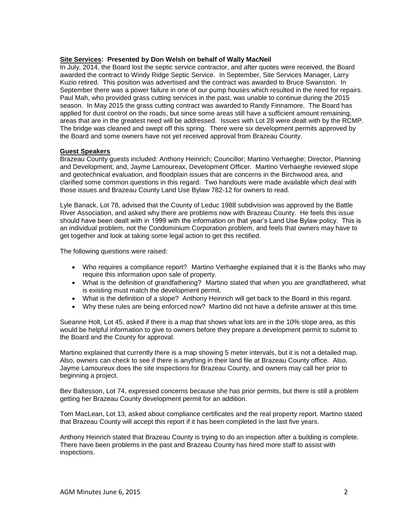#### **Site Services: Presented by Don Welsh on behalf of Wally MacNeil**

In July, 2014, the Board lost the septic service contractor, and after quotes were received, the Board awarded the contract to Windy Ridge Septic Service. In September, Site Services Manager, Larry Kuzio retired. This position was advertised and the contract was awarded to Bruce Swanston. In September there was a power failure in one of our pump houses which resulted in the need for repairs. Paul Mah, who provided grass cutting services in the past, was unable to continue during the 2015 season. In May 2015 the grass cutting contract was awarded to Randy Finnamore. The Board has applied for dust control on the roads, but since some areas still have a sufficient amount remaining, areas that are in the greatest need will be addressed. Issues with Lot 28 were dealt with by the RCMP. The bridge was cleaned and swept off this spring. There were six development permits approved by the Board and some owners have not yet received approval from Brazeau County.

#### **Guest Speakers**

Brazeau County guests included: Anthony Heinrich; Councillor; Martino Verhaeghe; Director, Planning and Development; and, Jayme Lamoureax, Development Officer. Martino Verhaeghe reviewed slope and geotechnical evaluation, and floodplain issues that are concerns in the Birchwood area, and clarified some common questions in this regard. Two handouts were made available which deal with those issues and Brazeau County Land Use Bylaw 782-12 for owners to read.

Lyle Banack, Lot 78, advised that the County of Leduc 1988 subdivision was approved by the Battle River Association, and asked why there are problems now with Brazeau County. He feels this issue should have been dealt with in 1999 with the information on that year's Land Use Bylaw policy. This is an individual problem, not the Condominium Corporation problem, and feels that owners may have to get together and look at taking some legal action to get this rectified.

The following questions were raised:

- Who requires a compliance report? Martino Verhaeghe explained that it is the Banks who may require this information upon sale of property.
- What is the definition of grandfathering? Martino stated that when you are grandfathered, what is existing must match the development permit.
- What is the definition of a slope? Anthony Heinrich will get back to the Board in this regard.
- Why these rules are being enforced now? Martino did not have a definite answer at this time.

Sueanne Holt, Lot 45, asked if there is a map that shows what lots are in the 10% slope area, as this would be helpful information to give to owners before they prepare a development permit to submit to the Board and the County for approval.

Martino explained that currently there is a map showing 5 meter intervals, but it is not a detailed map. Also, owners can check to see if there is anything in their land file at Brazeau County office. Also, Jayme Lamoureux does the site inspections for Brazeau County, and owners may call her prior to beginning a project.

Bev Baltesson, Lot 74, expressed concerns because she has prior permits, but there is still a problem getting her Brazeau County development permit for an addition.

Tom MacLean, Lot 13, asked about compliance certificates and the real property report. Martino stated that Brazeau County will accept this report if it has been completed in the last five years.

Anthony Heinrich stated that Brazeau County is trying to do an inspection after a building is complete. There have been problems in the past and Brazeau County has hired more staff to assist with inspections.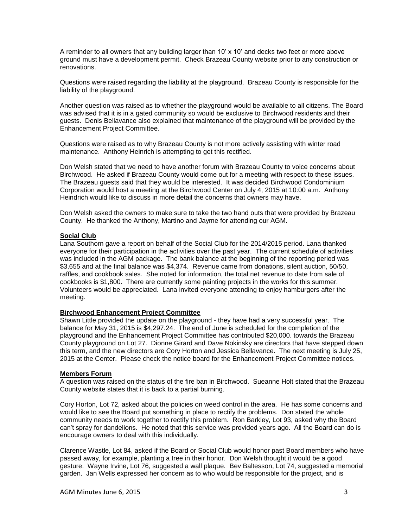A reminder to all owners that any building larger than 10' x 10' and decks two feet or more above ground must have a development permit. Check Brazeau County website prior to any construction or renovations.

Questions were raised regarding the liability at the playground. Brazeau County is responsible for the liability of the playground.

Another question was raised as to whether the playground would be available to all citizens. The Board was advised that it is in a gated community so would be exclusive to Birchwood residents and their guests. Denis Bellavance also explained that maintenance of the playground will be provided by the Enhancement Project Committee.

Questions were raised as to why Brazeau County is not more actively assisting with winter road maintenance. Anthony Heinrich is attempting to get this rectified.

Don Welsh stated that we need to have another forum with Brazeau County to voice concerns about Birchwood. He asked if Brazeau County would come out for a meeting with respect to these issues. The Brazeau guests said that they would be interested. It was decided Birchwood Condominium Corporation would host a meeting at the Birchwood Center on July 4, 2015 at 10:00 a.m. Anthony Heindrich would like to discuss in more detail the concerns that owners may have.

Don Welsh asked the owners to make sure to take the two hand outs that were provided by Brazeau County. He thanked the Anthony, Martino and Jayme for attending our AGM.

#### **Social Club**

Lana Southorn gave a report on behalf of the Social Club for the 2014/2015 period. Lana thanked everyone for their participation in the activities over the past year. The current schedule of activities was included in the AGM package. The bank balance at the beginning of the reporting period was \$3,655 and at the final balance was \$4,374. Revenue came from donations, silent auction, 50/50, raffles, and cookbook sales. She noted for information, the total net revenue to date from sale of cookbooks is \$1,800. There are currently some painting projects in the works for this summer. Volunteers would be appreciated. Lana invited everyone attending to enjoy hamburgers after the meeting.

#### **Birchwood Enhancement Project Committee**

Shawn Little provided the update on the playground - they have had a very successful year. The balance for May 31, 2015 is \$4,297.24. The end of June is scheduled for the completion of the playground and the Enhancement Project Committee has contributed \$20,000. towards the Brazeau County playground on Lot 27. Dionne Girard and Dave Nokinsky are directors that have stepped down this term, and the new directors are Cory Horton and Jessica Bellavance. The next meeting is July 25, 2015 at the Center. Please check the notice board for the Enhancement Project Committee notices.

#### **Members Forum**

A question was raised on the status of the fire ban in Birchwood. Sueanne Holt stated that the Brazeau County website states that it is back to a partial burning.

Cory Horton, Lot 72, asked about the policies on weed control in the area. He has some concerns and would like to see the Board put something in place to rectify the problems. Don stated the whole community needs to work together to rectify this problem. Ron Barkley, Lot 93, asked why the Board can't spray for dandelions. He noted that this service was provided years ago. All the Board can do is encourage owners to deal with this individually.

Clarence Wastle, Lot 84, asked if the Board or Social Club would honor past Board members who have passed away, for example, planting a tree in their honor. Don Welsh thought it would be a good gesture. Wayne Irvine, Lot 76, suggested a wall plaque. Bev Baltesson, Lot 74, suggested a memorial garden. Jan Wells expressed her concern as to who would be responsible for the project, and is